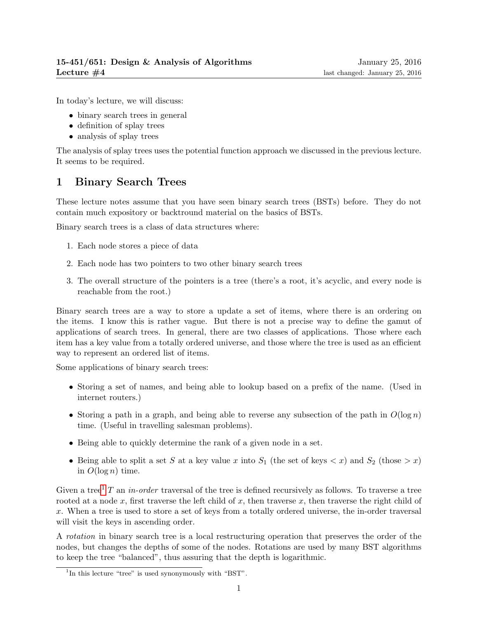In today's lecture, we will discuss:

- binary search trees in general
- definition of splay trees
- analysis of splay trees

The analysis of splay trees uses the potential function approach we discussed in the previous lecture. It seems to be required.

# 1 Binary Search Trees

These lecture notes assume that you have seen binary search trees (BSTs) before. They do not contain much expository or backtround material on the basics of BSTs.

Binary search trees is a class of data structures where:

- 1. Each node stores a piece of data
- 2. Each node has two pointers to two other binary search trees
- 3. The overall structure of the pointers is a tree (there's a root, it's acyclic, and every node is reachable from the root.)

Binary search trees are a way to store a update a set of items, where there is an ordering on the items. I know this is rather vague. But there is not a precise way to define the gamut of applications of search trees. In general, there are two classes of applications. Those where each item has a key value from a totally ordered universe, and those where the tree is used as an efficient way to represent an ordered list of items.

Some applications of binary search trees:

- Storing a set of names, and being able to lookup based on a prefix of the name. (Used in internet routers.)
- Storing a path in a graph, and being able to reverse any subsection of the path in  $O(\log n)$ time. (Useful in travelling salesman problems).
- Being able to quickly determine the rank of a given node in a set.
- Being able to split a set S at a key value x into  $S_1$  (the set of keys  $\lt x$ ) and  $S_2$  (those  $\gt x$ ) in  $O(\log n)$  time.

Given a tree<sup>[1](#page-0-0)</sup> T an in-order traversal of the tree is defined recursively as follows. To traverse a tree rooted at a node x, first traverse the left child of x, then traverse x, then traverse the right child of x. When a tree is used to store a set of keys from a totally ordered universe, the in-order traversal will visit the keys in ascending order.

A rotation in binary search tree is a local restructuring operation that preserves the order of the nodes, but changes the depths of some of the nodes. Rotations are used by many BST algorithms to keep the tree "balanced", thus assuring that the depth is logarithmic.

<span id="page-0-0"></span><sup>&</sup>lt;sup>1</sup>In this lecture "tree" is used synonymously with "BST".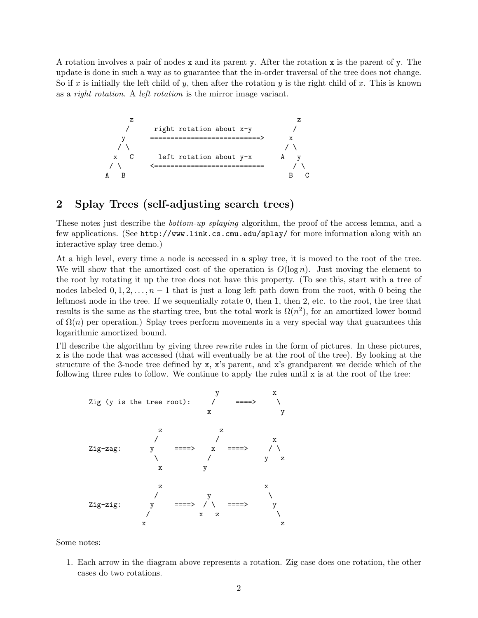A rotation involves a pair of nodes x and its parent y. After the rotation x is the parent of y. The update is done in such a way as to guarantee that the in-order traversal of the tree does not change. So if x is initially the left child of y, then after the rotation y is the right child of x. This is known as a right rotation. A left rotation is the mirror image variant.



### 2 Splay Trees (self-adjusting search trees)

These notes just describe the *bottom-up splaying* algorithm, the proof of the access lemma, and a few applications. (See http://www.link.cs.cmu.edu/splay/ for more information along with an interactive splay tree demo.)

At a high level, every time a node is accessed in a splay tree, it is moved to the root of the tree. We will show that the amortized cost of the operation is  $O(\log n)$ . Just moving the element to the root by rotating it up the tree does not have this property. (To see this, start with a tree of nodes labeled  $0, 1, 2, \ldots, n-1$  that is just a long left path down from the root, with 0 being the leftmost node in the tree. If we sequentially rotate 0, then 1, then 2, etc. to the root, the tree that results is the same as the starting tree, but the total work is  $\Omega(n^2)$ , for an amortized lower bound of  $\Omega(n)$  per operation.) Splay trees perform movements in a very special way that guarantees this logarithmic amortized bound.

I'll describe the algorithm by giving three rewrite rules in the form of pictures. In these pictures, x is the node that was accessed (that will eventually be at the root of the tree). By looking at the structure of the 3-node tree defined by x, x's parent, and x's grandparent we decide which of the following three rules to follow. We continue to apply the rules until x is at the root of the tree:



Some notes:

1. Each arrow in the diagram above represents a rotation. Zig case does one rotation, the other cases do two rotations.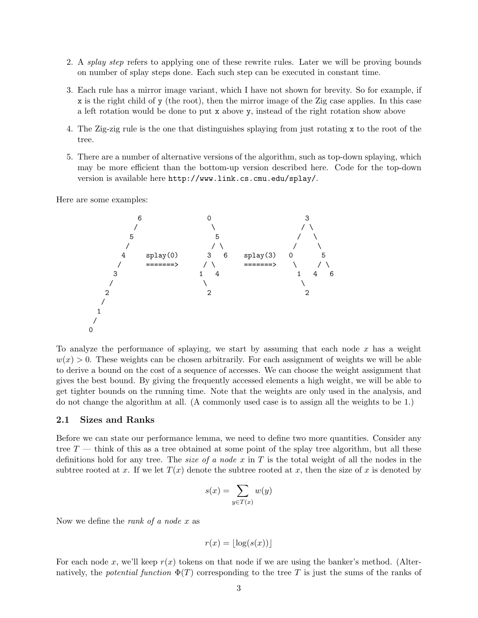- 2. A splay step refers to applying one of these rewrite rules. Later we will be proving bounds on number of splay steps done. Each such step can be executed in constant time.
- 3. Each rule has a mirror image variant, which I have not shown for brevity. So for example, if x is the right child of y (the root), then the mirror image of the Zig case applies. In this case a left rotation would be done to put x above y, instead of the right rotation show above
- 4. The Zig-zig rule is the one that distinguishes splaying from just rotating x to the root of the tree.
- 5. There are a number of alternative versions of the algorithm, such as top-down splaying, which may be more efficient than the bottom-up version described here. Code for the top-down version is available here http://www.link.cs.cmu.edu/splay/.

Here are some examples:



To analyze the performance of splaying, we start by assuming that each node  $x$  has a weight  $w(x) > 0$ . These weights can be chosen arbitrarily. For each assignment of weights we will be able to derive a bound on the cost of a sequence of accesses. We can choose the weight assignment that gives the best bound. By giving the frequently accessed elements a high weight, we will be able to get tighter bounds on the running time. Note that the weights are only used in the analysis, and do not change the algorithm at all. (A commonly used case is to assign all the weights to be 1.)

#### 2.1 Sizes and Ranks

Before we can state our performance lemma, we need to define two more quantities. Consider any tree  $T$  — think of this as a tree obtained at some point of the splay tree algorithm, but all these definitions hold for any tree. The *size of a node x* in T is the total weight of all the nodes in the subtree rooted at x. If we let  $T(x)$  denote the subtree rooted at x, then the size of x is denoted by

$$
s(x) = \sum_{y \in T(x)} w(y)
$$

Now we define the *rank of a node x* as

$$
r(x) = |\log(s(x))|
$$

For each node x, we'll keep  $r(x)$  tokens on that node if we are using the banker's method. (Alternatively, the potential function  $\Phi(T)$  corresponding to the tree T is just the sums of the ranks of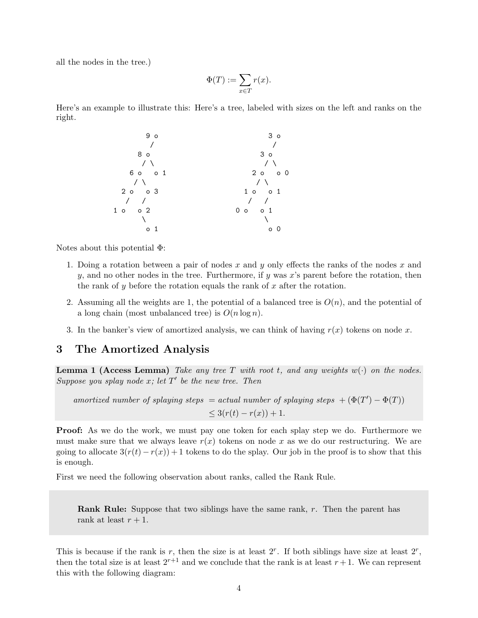all the nodes in the tree.)

$$
\Phi(T):=\sum_{x\in T}r(x).
$$

Here's an example to illustrate this: Here's a tree, labeled with sizes on the left and ranks on the right.



Notes about this potential Φ:

- 1. Doing a rotation between a pair of nodes x and y only effects the ranks of the nodes x and y, and no other nodes in the tree. Furthermore, if y was x's parent before the rotation, then the rank of y before the rotation equals the rank of  $x$  after the rotation.
- 2. Assuming all the weights are 1, the potential of a balanced tree is  $O(n)$ , and the potential of a long chain (most unbalanced tree) is  $O(n \log n)$ .
- 3. In the banker's view of amortized analysis, we can think of having  $r(x)$  tokens on node x.

### 3 The Amortized Analysis

**Lemma 1 (Access Lemma)** Take any tree T with root t, and any weights  $w(\cdot)$  on the nodes. Suppose you splay node  $x$ ; let  $T'$  be the new tree. Then

amortized number of splaying steps = actual number of splaying steps  $+ (\Phi(T') - \Phi(T))$  $\leq 3(r(t) - r(x)) + 1.$ 

**Proof:** As we do the work, we must pay one token for each splay step we do. Furthermore we must make sure that we always leave  $r(x)$  tokens on node x as we do our restructuring. We are going to allocate  $3(r(t) - r(x)) + 1$  tokens to do the splay. Our job in the proof is to show that this is enough.

First we need the following observation about ranks, called the Rank Rule.

Rank Rule: Suppose that two siblings have the same rank, r. Then the parent has rank at least  $r + 1$ .

This is because if the rank is r, then the size is at least  $2^r$ . If both siblings have size at least  $2^r$ , then the total size is at least  $2^{r+1}$  and we conclude that the rank is at least  $r+1$ . We can represent this with the following diagram: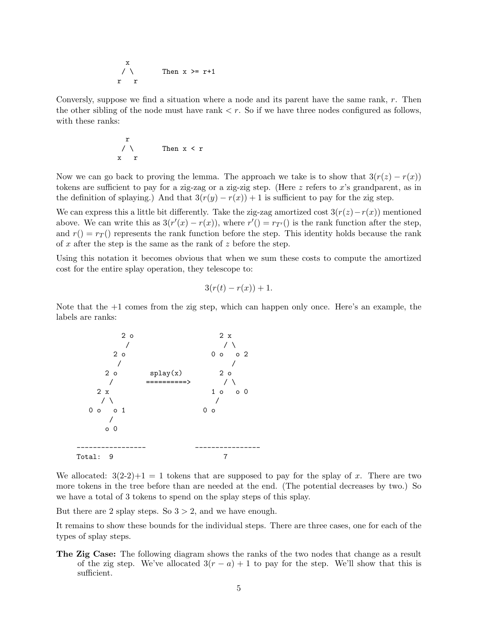$$
\begin{array}{ccc}\nx & & \\
\diagup \searrow & & \text{Then } x \geq r+1 \\
r & r & & \n\end{array}
$$

Conversly, suppose we find a situation where a node and its parent have the same rank,  $r$ . Then the other sibling of the node must have rank  $\lt r$ . So if we have three nodes configured as follows, with these ranks:

$$
\begin{array}{ccc}\n & r \\
 \diagup \diagdown \\
 & \diagup \quad \text{Then } x < r \\
 & x & r\n \end{array}
$$

Now we can go back to proving the lemma. The approach we take is to show that  $3(r(z) - r(x))$ tokens are sufficient to pay for a zig-zag or a zig-zig step. (Here z refers to x's grandparent, as in the definition of splaying.) And that  $3(r(y) - r(x)) + 1$  is sufficient to pay for the zig step.

We can express this a little bit differently. Take the zig-zag amortized cost  $3(r(z)-r(x))$  mentioned above. We can write this as  $3(r'(x) - r(x))$ , where  $r'(x) = r_{T'}(x)$  is the rank function after the step, and  $r() = r_T()$  represents the rank function before the step. This identity holds because the rank of  $x$  after the step is the same as the rank of  $z$  before the step.

Using this notation it becomes obvious that when we sum these costs to compute the amortized cost for the entire splay operation, they telescope to:

$$
3(r(t) - r(x)) + 1.
$$

Note that the +1 comes from the zig step, which can happen only once. Here's an example, the labels are ranks:



We allocated:  $3(2-2)+1=1$  tokens that are supposed to pay for the splay of x. There are two more tokens in the tree before than are needed at the end. (The potential decreases by two.) So we have a total of 3 tokens to spend on the splay steps of this splay.

But there are 2 splay steps. So  $3 > 2$ , and we have enough.

It remains to show these bounds for the individual steps. There are three cases, one for each of the types of splay steps.

The Zig Case: The following diagram shows the ranks of the two nodes that change as a result of the zig step. We've allocated  $3(r - a) + 1$  to pay for the step. We'll show that this is sufficient.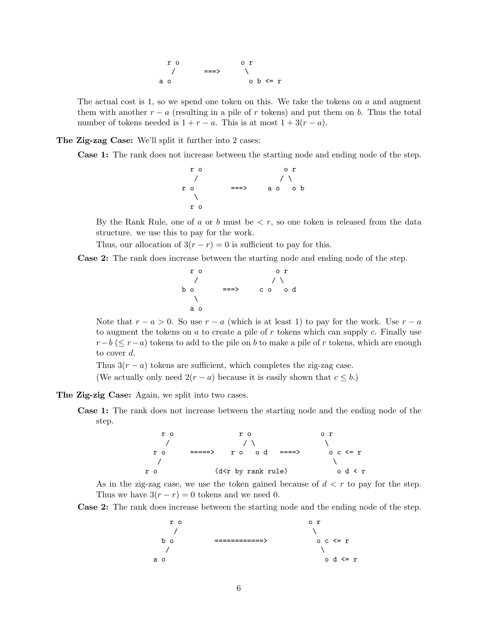

The actual cost is 1, so we spend one token on this. We take the tokens on  $a$  and augment them with another  $r - a$  (resulting in a pile of r tokens) and put them on b. Thus the total number of tokens needed is  $1 + r - a$ . This is at most  $1 + 3(r - a)$ .

#### The Zig-zag Case: We'll split it further into 2 cases:

Case 1: The rank does not increase between the starting node and ending node of the step.

$$
\begin{array}{ccccc}\n & r & o & r \\
 & \nearrow & & \nearrow \\
r & o & & & \searrow \\
 & \searrow & & & \searrow \\
 & \searrow & & & \searrow \\
 & r & o & & & \end{array}
$$

By the Rank Rule, one of a or b must be  $\leq r$ , so one token is released from the data structure. we use this to pay for the work.

Thus, our allocation of  $3(r - r) = 0$  is sufficient to pay for this.

Case 2: The rank does increase between the starting node and ending node of the step.

r o o r / / \ b o ===> c o o d \ a o

Note that  $r - a > 0$ . So use  $r - a$  (which is at least 1) to pay for the work. Use  $r - a$ to augment the tokens on  $a$  to create a pile of  $r$  tokens which can supply  $c$ . Finally use  $r-b$  ( $\leq r-a$ ) tokens to add to the pile on b to make a pile of r tokens, which are enough to cover d.

Thus  $3(r - a)$  tokens are sufficient, which completes the zig-zag case.

(We actually only need  $2(r - a)$  because it is easily shown that  $c \leq b$ .)

The Zig-zig Case: Again, we split into two cases.

Case 1: The rank does not increase between the starting node and the ending node of the step.



As in the zig-zag case, we use the token gained because of  $d < r$  to pay for the step. Thus we have  $3(r - r) = 0$  tokens and we need 0.

Case 2: The rank does increase between the starting node and the ending node of the step.

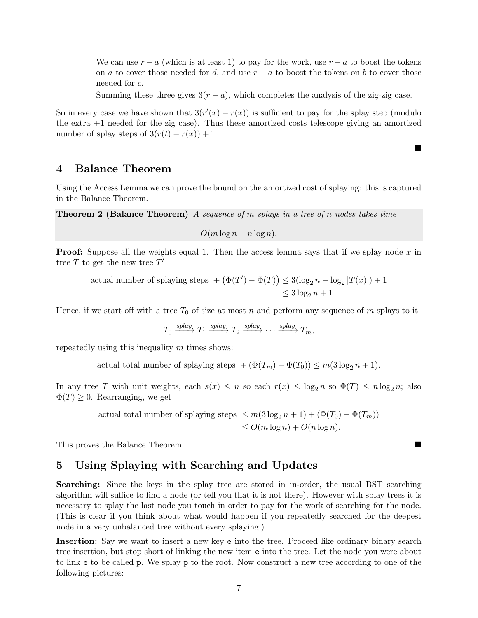We can use  $r - a$  (which is at least 1) to pay for the work, use  $r - a$  to boost the tokens on a to cover those needed for d, and use  $r - a$  to boost the tokens on b to cover those needed for c.

Summing these three gives  $3(r - a)$ , which completes the analysis of the zig-zig case.

■

So in every case we have shown that  $3(r'(x) - r(x))$  is sufficient to pay for the splay step (modulo the extra  $+1$  needed for the zig case). Thus these amortized costs telescope giving an amortized number of splay steps of  $3(r(t) - r(x)) + 1$ .

### 4 Balance Theorem

Using the Access Lemma we can prove the bound on the amortized cost of splaying: this is captured in the Balance Theorem.

**Theorem 2 (Balance Theorem)** A sequence of  $m$  splays in a tree of  $n$  nodes takes time

$$
O(m\log n + n\log n).
$$

**Proof:** Suppose all the weights equal 1. Then the access lemma says that if we splay node x in tree T to get the new tree  $T'$ 

actual number of splaying steps  $+ (\Phi(T') - \Phi(T)) \leq 3(\log_2 n - \log_2 |T(x)|) + 1$  $<$  3 log<sub>2</sub>  $n + 1$ .

Hence, if we start off with a tree  $T_0$  of size at most n and perform any sequence of m splays to it

$$
T_0 \xrightarrow{splay} T_1 \xrightarrow{splay} T_2 \xrightarrow{splay} \cdots \xrightarrow{splay} T_m,
$$

repeatedly using this inequality  $m$  times shows:

actual total number of splaying steps  $+ (\Phi(T_m) - \Phi(T_0)) \leq m(3 \log_2 n + 1)$ .

In any tree T with unit weights, each  $s(x) \leq n$  so each  $r(x) \leq \log_2 n$  so  $\Phi(T) \leq n \log_2 n$ ; also  $\Phi(T) \geq 0$ . Rearranging, we get

> actual total number of splaying steps  $\leq m(3\log_2 n + 1) + (\Phi(T_0) - \Phi(T_m))$  $\leq O(m \log n) + O(n \log n)$ .

This proves the Balance Theorem.

### 5 Using Splaying with Searching and Updates

Searching: Since the keys in the splay tree are stored in in-order, the usual BST searching algorithm will suffice to find a node (or tell you that it is not there). However with splay trees it is necessary to splay the last node you touch in order to pay for the work of searching for the node. (This is clear if you think about what would happen if you repeatedly searched for the deepest node in a very unbalanced tree without every splaying.)

Insertion: Say we want to insert a new key e into the tree. Proceed like ordinary binary search tree insertion, but stop short of linking the new item e into the tree. Let the node you were about to link e to be called p. We splay p to the root. Now construct a new tree according to one of the following pictures: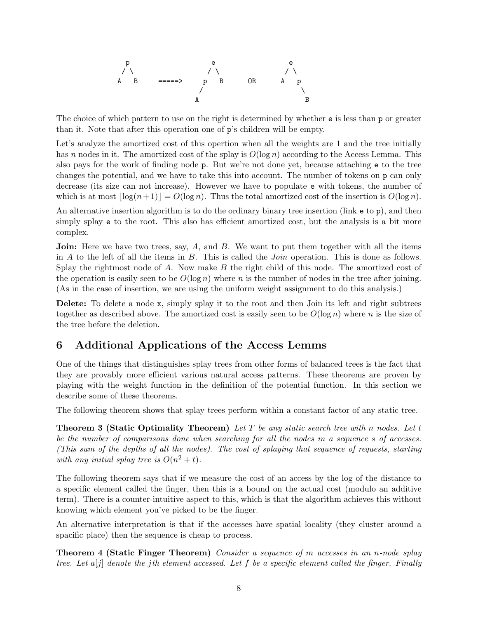

The choice of which pattern to use on the right is determined by whether **e** is less than **p** or greater than it. Note that after this operation one of p's children will be empty.

Let's analyze the amortized cost of this opertion when all the weights are 1 and the tree initially has n nodes in it. The amortized cost of the splay is  $O(\log n)$  according to the Access Lemma. This also pays for the work of finding node p. But we're not done yet, because attaching e to the tree changes the potential, and we have to take this into account. The number of tokens on p can only decrease (its size can not increase). However we have to populate e with tokens, the number of which is at most  $\log(n + 1) = O(\log n)$ . Thus the total amortized cost of the insertion is  $O(\log n)$ .

An alternative insertion algorithm is to do the ordinary binary tree insertion (link e to p), and then simply splay e to the root. This also has efficient amortized cost, but the analysis is a bit more complex.

**Join:** Here we have two trees, say,  $A$ , and  $B$ . We want to put them together with all the items in  $A$  to the left of all the items in  $B$ . This is called the *Join* operation. This is done as follows. Splay the rightmost node of  $A$ . Now make  $B$  the right child of this node. The amortized cost of the operation is easily seen to be  $O(\log n)$  where n is the number of nodes in the tree after joining. (As in the case of insertion, we are using the uniform weight assignment to do this analysis.)

Delete: To delete a node x, simply splay it to the root and then Join its left and right subtrees together as described above. The amortized cost is easily seen to be  $O(\log n)$  where n is the size of the tree before the deletion.

## 6 Additional Applications of the Access Lemms

One of the things that distinguishes splay trees from other forms of balanced trees is the fact that they are provably more efficient various natural access patterns. These theorems are proven by playing with the weight function in the definition of the potential function. In this section we describe some of these theorems.

The following theorem shows that splay trees perform within a constant factor of any static tree.

**Theorem 3 (Static Optimality Theorem)** Let T be any static search tree with n nodes. Let t be the number of comparisons done when searching for all the nodes in a sequence s of accesses. (This sum of the depths of all the nodes). The cost of splaying that sequence of requests, starting with any initial splay tree is  $O(n^2 + t)$ .

The following theorem says that if we measure the cost of an access by the log of the distance to a specific element called the finger, then this is a bound on the actual cost (modulo an additive term). There is a counter-intuitive aspect to this, which is that the algorithm achieves this without knowing which element you've picked to be the finger.

An alternative interpretation is that if the accesses have spatial locality (they cluster around a spacific place) then the sequence is cheap to process.

Theorem 4 (Static Finger Theorem) Consider a sequence of m accesses in an n-node splay tree. Let  $a[j]$  denote the jth element accessed. Let f be a specific element called the finger. Finally